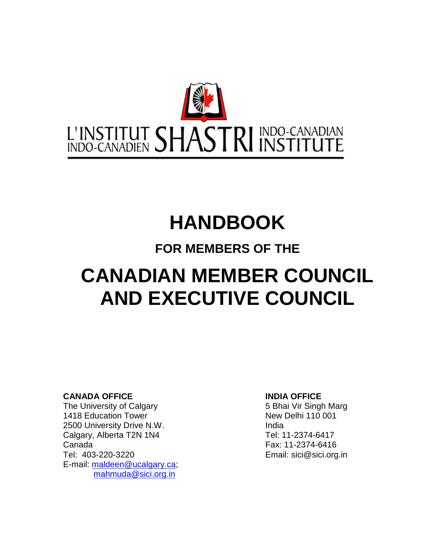

# **HANDBOOK**

# **FOR MEMBERS OF THE**

# **CANADIAN MEMBER COUNCIL AND EXECUTIVE COUNCIL**

**CANADA OFFICE**<br>
The University of Calgary<br> **INDIA OFFICE**<br>
5 Bhai Vir Singh Marg The University of Calgary 1418 Education Tower New Delhi 110 001 2500 University Drive N.W. **India** Calgary, Alberta T2N 1N4 Tel: 11-2374-6417 Canada Fax: 11-2374-6416 Tel: 403-220-3220 Email: sici@sici.org.in E-mail: [maldeen@ucalgary.ca;](mailto:maldeen@ucalgary.ca) [mahmuda@sici.org.in](mailto:mahmuda@sici.org.in)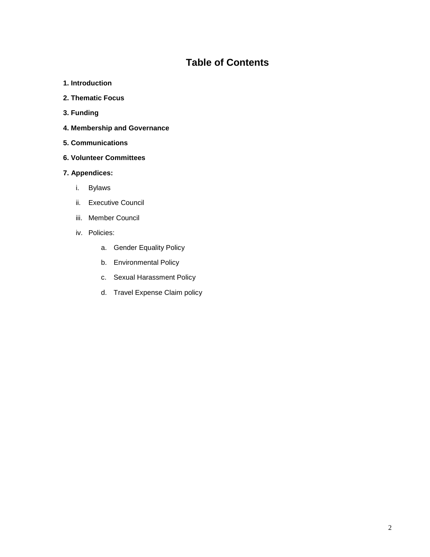## **Table of Contents**

- **1. Introduction**
- **2. Thematic Focus**
- **3. Funding**
- **4. Membership and Governance**
- **5. Communications**
- **6. Volunteer Committees**

#### **7. Appendices:**

- i. Bylaws
- ii. Executive Council
- iii. Member Council
- iv. Policies:
	- a. Gender Equality Policy
	- b. Environmental Policy
	- c. Sexual Harassment Policy
	- d. Travel Expense Claim policy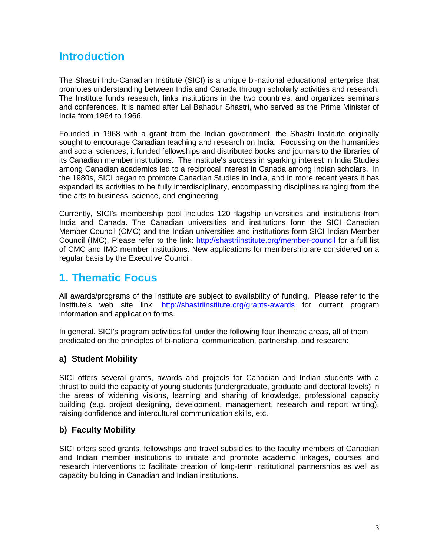# **Introduction**

The Shastri Indo-Canadian Institute (SICI) is a unique bi-national educational enterprise that promotes understanding between India and Canada through scholarly activities and research. The Institute funds research, links institutions in the two countries, and organizes seminars and conferences. It is named after Lal Bahadur Shastri, who served as the Prime Minister of India from 1964 to 1966.

Founded in 1968 with a grant from the Indian government, the Shastri Institute originally sought to encourage Canadian teaching and research on India. Focussing on the humanities and social sciences, it funded fellowships and distributed books and journals to the libraries of its Canadian member institutions. The Institute's success in sparking interest in India Studies among Canadian academics led to a reciprocal interest in Canada among Indian scholars. In the 1980s, SICI began to promote Canadian Studies in India, and in more recent years it has expanded its activities to be fully interdisciplinary, encompassing disciplines ranging from the fine arts to business, science, and engineering.

Currently, SICI's membership pool includes 120 flagship universities and institutions from India and Canada. The Canadian universities and institutions form the SICI Canadian Member Council (CMC) and the Indian universities and institutions form SICI Indian Member Council (IMC). Please refer to the link:<http://shastriinstitute.org/member-council> for a full list of CMC and IMC member institutions. New applications for membership are considered on a regular basis by the Executive Council.

## **1. Thematic Focus**

All awards/programs of the Institute are subject to availability of funding. Please refer to the Institute's web site link: <http://shastriinstitute.org/grants-awards> for current program information and application forms.

In general, SICI's program activities fall under the following four thematic areas, all of them predicated on the principles of bi-national communication, partnership, and research:

### **a) Student Mobility**

SICI offers several grants, awards and projects for Canadian and Indian students with a thrust to build the capacity of young students (undergraduate, graduate and doctoral levels) in the areas of widening visions, learning and sharing of knowledge, professional capacity building (e.g. project designing, development, management, research and report writing), raising confidence and intercultural communication skills, etc.

#### **b) Faculty Mobility**

SICI offers seed grants, fellowships and travel subsidies to the faculty members of Canadian and Indian member institutions to initiate and promote academic linkages, courses and research interventions to facilitate creation of long-term institutional partnerships as well as capacity building in Canadian and Indian institutions.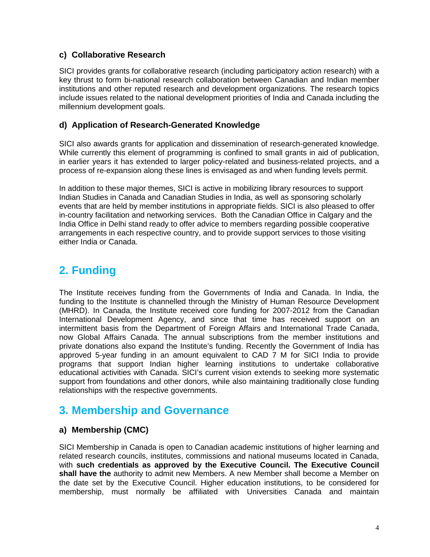#### **c) Collaborative Research**

SICI provides grants for collaborative research (including participatory action research) with a key thrust to form bi-national research collaboration between Canadian and Indian member institutions and other reputed research and development organizations. The research topics include issues related to the national development priorities of India and Canada including the millennium development goals.

#### **d) Application of Research-Generated Knowledge**

SICI also awards grants for application and dissemination of research-generated knowledge. While currently this element of programming is confined to small grants in aid of publication, in earlier years it has extended to larger policy-related and business-related projects, and a process of re-expansion along these lines is envisaged as and when funding levels permit.

In addition to these major themes, SICI is active in mobilizing library resources to support Indian Studies in Canada and Canadian Studies in India, as well as sponsoring scholarly events that are held by member institutions in appropriate fields. SICI is also pleased to offer in-country facilitation and networking services. Both the Canadian Office in Calgary and the India Office in Delhi stand ready to offer advice to members regarding possible cooperative arrangements in each respective country, and to provide support services to those visiting either India or Canada.

# **2. Funding**

The Institute receives funding from the Governments of India and Canada. In India, the funding to the Institute is channelled through the Ministry of Human Resource Development (MHRD). In Canada, the Institute received core funding for 2007-2012 from the Canadian International Development Agency, and since that time has received support on an intermittent basis from the Department of Foreign Affairs and International Trade Canada, now Global Affairs Canada. The annual subscriptions from the member institutions and private donations also expand the Institute's funding. Recently the Government of India has approved 5-year funding in an amount equivalent to CAD 7 M for SICI India to provide programs that support Indian higher learning institutions to undertake collaborative educational activities with Canada. SICI's current vision extends to seeking more systematic support from foundations and other donors, while also maintaining traditionally close funding relationships with the respective governments.

# **3. Membership and Governance**

#### **a) Membership (CMC)**

SICI Membership in Canada is open to Canadian academic institutions of higher learning and related research councils, institutes, commissions and national museums located in Canada, with **such credentials as approved by the Executive Council. The Executive Council shall have the** authority to admit new Members. A new Member shall become a Member on the date set by the Executive Council. Higher education institutions, to be considered for membership, must normally be affiliated with Universities Canada and maintain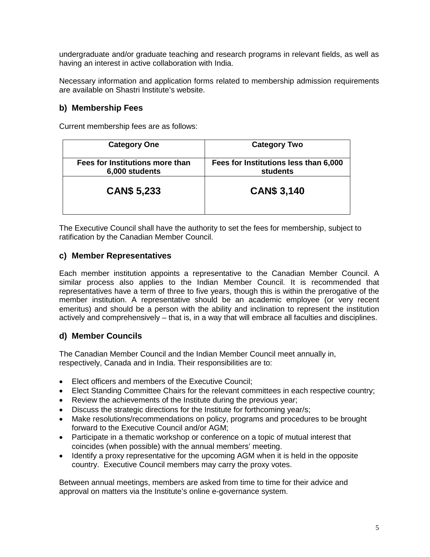undergraduate and/or graduate teaching and research programs in relevant fields, as well as having an interest in active collaboration with India.

Necessary information and application forms related to membership admission requirements are available on Shastri Institute's website.

#### **b) Membership Fees**

Current membership fees are as follows:

| <b>Category One</b>                               | <b>Category Two</b>                               |
|---------------------------------------------------|---------------------------------------------------|
| Fees for Institutions more than<br>6,000 students | Fees for Institutions less than 6,000<br>students |
| <b>CAN\$ 5,233</b>                                | <b>CAN\$ 3,140</b>                                |

The Executive Council shall have the authority to set the fees for membership, subject to ratification by the Canadian Member Council.

#### **c) Member Representatives**

Each member institution appoints a representative to the Canadian Member Council. A similar process also applies to the Indian Member Council. It is recommended that representatives have a term of three to five years, though this is within the prerogative of the member institution. A representative should be an academic employee (or very recent emeritus) and should be a person with the ability and inclination to represent the institution actively and comprehensively – that is, in a way that will embrace all faculties and disciplines.

#### **d) Member Councils**

The Canadian Member Council and the Indian Member Council meet annually in, respectively, Canada and in India. Their responsibilities are to:

- Elect officers and members of the Executive Council;
- Elect Standing Committee Chairs for the relevant committees in each respective country;
- Review the achievements of the Institute during the previous year;
- Discuss the strategic directions for the Institute for forthcoming year/s;
- Make resolutions/recommendations on policy, programs and procedures to be brought forward to the Executive Council and/or AGM;
- Participate in a thematic workshop or conference on a topic of mutual interest that coincides (when possible) with the annual members' meeting.
- Identify a proxy representative for the upcoming AGM when it is held in the opposite country. Executive Council members may carry the proxy votes.

Between annual meetings, members are asked from time to time for their advice and approval on matters via the Institute's online e-governance system.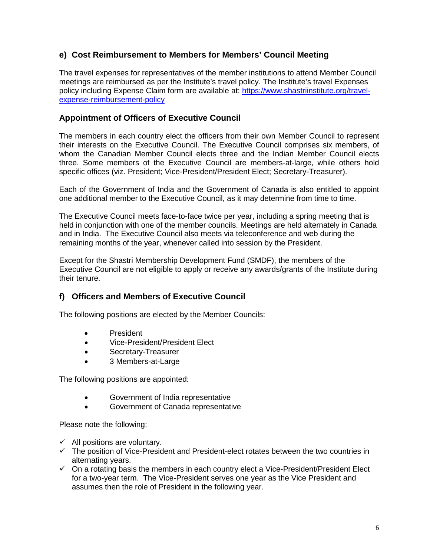### **e) Cost Reimbursement to Members for Members' Council Meeting**

The travel expenses for representatives of the member institutions to attend Member Council meetings are reimbursed as per the Institute's travel policy. The Institute's travel Expenses policy including Expense Claim form are available at: [https://www.shastriinstitute.org/travel](https://www.shastriinstitute.org/travel-expense-reimbursement-policy)[expense-reimbursement-policy](https://www.shastriinstitute.org/travel-expense-reimbursement-policy)

#### **Appointment of Officers of Executive Council**

The members in each country elect the officers from their own Member Council to represent their interests on the Executive Council. The Executive Council comprises six members, of whom the Canadian Member Council elects three and the Indian Member Council elects three. Some members of the Executive Council are members-at-large, while others hold specific offices (viz. President; Vice-President/President Elect; Secretary-Treasurer).

Each of the Government of India and the Government of Canada is also entitled to appoint one additional member to the Executive Council, as it may determine from time to time.

The Executive Council meets face-to-face twice per year, including a spring meeting that is held in conjunction with one of the member councils. Meetings are held alternately in Canada and in India. The Executive Council also meets via teleconference and web during the remaining months of the year, whenever called into session by the President.

Except for the Shastri Membership Development Fund (SMDF), the members of the Executive Council are not eligible to apply or receive any awards/grants of the Institute during their tenure.

#### **f) Officers and Members of Executive Council**

The following positions are elected by the Member Councils:

- President
- Vice-President/President Elect
- Secretary-Treasurer
- 3 Members-at-Large

The following positions are appointed:

- Government of India representative
- Government of Canada representative

Please note the following:

- $\checkmark$  All positions are voluntary.
- $\checkmark$  The position of Vice-President and President-elect rotates between the two countries in alternating years.
- $\checkmark$  On a rotating basis the members in each country elect a Vice-President/President Elect for a two-year term. The Vice-President serves one year as the Vice President and assumes then the role of President in the following year.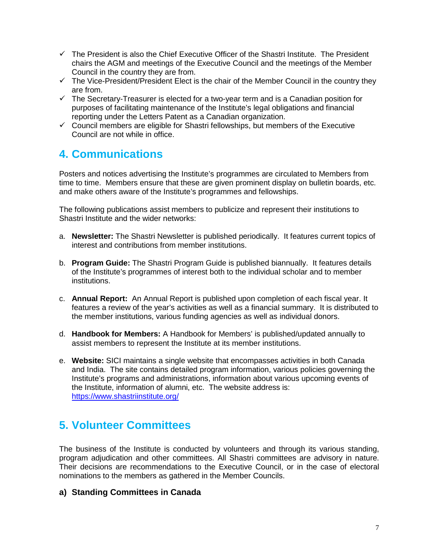- $\checkmark$  The President is also the Chief Executive Officer of the Shastri Institute. The President chairs the AGM and meetings of the Executive Council and the meetings of the Member Council in the country they are from.
- $\checkmark$  The Vice-President/President Elect is the chair of the Member Council in the country they are from.
- $\checkmark$  The Secretarv-Treasurer is elected for a two-year term and is a Canadian position for purposes of facilitating maintenance of the Institute's legal obligations and financial reporting under the Letters Patent as a Canadian organization.
- $\checkmark$  Council members are eligible for Shastri fellowships, but members of the Executive Council are not while in office.

# **4. Communications**

Posters and notices advertising the Institute's programmes are circulated to Members from time to time. Members ensure that these are given prominent display on bulletin boards, etc. and make others aware of the Institute's programmes and fellowships.

The following publications assist members to publicize and represent their institutions to Shastri Institute and the wider networks:

- a. **Newsletter:** The Shastri Newsletter is published periodically. It features current topics of interest and contributions from member institutions.
- b. **Program Guide:** The Shastri Program Guide is published biannually. It features details of the Institute's programmes of interest both to the individual scholar and to member institutions.
- c. **Annual Report:** An Annual Report is published upon completion of each fiscal year. It features a review of the year's activities as well as a financial summary. It is distributed to the member institutions, various funding agencies as well as individual donors.
- d. **Handbook for Members:** A Handbook for Members' is published/updated annually to assist members to represent the Institute at its member institutions.
- e. **Website:** SICI maintains a single website that encompasses activities in both Canada and India. The site contains detailed program information, various policies governing the Institute's programs and administrations, information about various upcoming events of the Institute, information of alumni, etc. The website address is: <https://www.shastriinstitute.org/>

# **5. Volunteer Committees**

The business of the Institute is conducted by volunteers and through its various standing, program adjudication and other committees. All Shastri committees are advisory in nature. Their decisions are recommendations to the Executive Council, or in the case of electoral nominations to the members as gathered in the Member Councils.

#### **a) Standing Committees in Canada**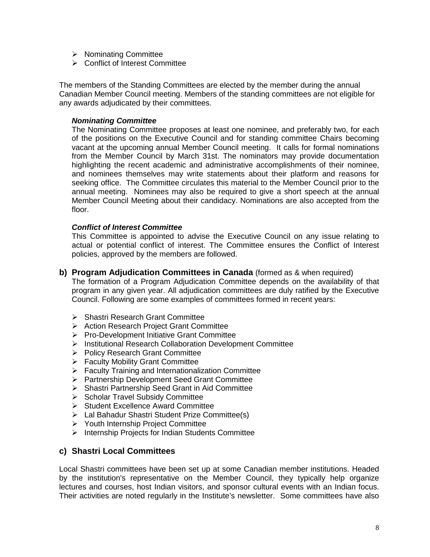- > Nominating Committee
- **▶ Conflict of Interest Committee**

The members of the Standing Committees are elected by the member during the annual Canadian Member Council meeting. Members of the standing committees are not eligible for any awards adjudicated by their committees.

#### *Nominating Committee*

The Nominating Committee proposes at least one nominee, and preferably two, for each of the positions on the Executive Council and for standing committee Chairs becoming vacant at the upcoming annual Member Council meeting. It calls for formal nominations from the Member Council by March 31st. The nominators may provide documentation highlighting the recent academic and administrative accomplishments of their nominee, and nominees themselves may write statements about their platform and reasons for seeking office. The Committee circulates this material to the Member Council prior to the annual meeting. Nominees may also be required to give a short speech at the annual Member Council Meeting about their candidacy. Nominations are also accepted from the floor.

#### *Conflict of Interest Committee*

This Committee is appointed to advise the Executive Council on any issue relating to actual or potential conflict of interest. The Committee ensures the Conflict of Interest policies, approved by the members are followed.

**b) Program Adjudication Committees in Canada** (formed as & when required)

The formation of a Program Adjudication Committee depends on the availability of that program in any given year. All adjudication committees are duly ratified by the Executive Council. Following are some examples of committees formed in recent years:

- ▶ Shastri Research Grant Committee
- Action Research Project Grant Committee
- $\triangleright$  Pro-Development Initiative Grant Committee
- Institutional Research Collaboration Development Committee
- Policy Research Grant Committee
- ▶ Faculty Mobility Grant Committee
- $\triangleright$  Faculty Training and Internationalization Committee
- **Partnership Development Seed Grant Committee**
- ▶ Shastri Partnership Seed Grant in Aid Committee
- $\triangleright$  Scholar Travel Subsidy Committee
- $\triangleright$  Student Excellence Award Committee
- Lal Bahadur Shastri Student Prize Committee(s)
- Youth Internship Project Committee
- $\triangleright$  Internship Projects for Indian Students Committee

#### **c) Shastri Local Committees**

Local Shastri committees have been set up at some Canadian member institutions. Headed by the institution's representative on the Member Council, they typically help organize lectures and courses, host Indian visitors, and sponsor cultural events with an Indian focus. Their activities are noted regularly in the Institute's newsletter. Some committees have also